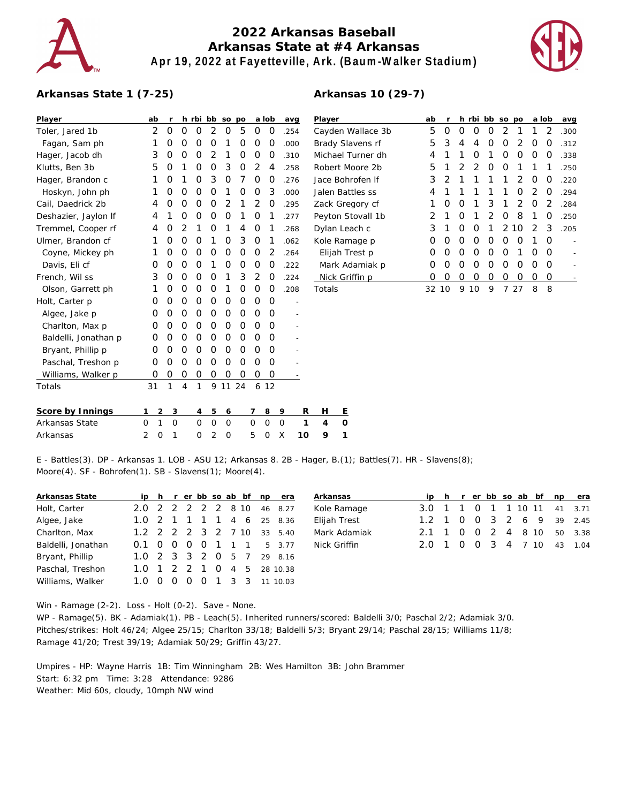

## **2022 Arkansas Baseball Arkansas State at #4 Arkansas Apr 19, 2022 at Fayetteville, Ark. (Baum-Walker Stadium)**

**Arkansas 10 (29-7)**



## **Arkansas State 1 (7-25)**

| Player               |   | ab             | r |                | h rbi bb |                | SO             | po       |          | a lob        |   | avg  | Player               |         |
|----------------------|---|----------------|---|----------------|----------|----------------|----------------|----------|----------|--------------|---|------|----------------------|---------|
| Toler, Jared 1b      |   | 2              | 0 | 0              | 0        | 2              | 0              | 5        | O        | O            |   | .254 | Cayden               |         |
| Fagan, Sam ph        |   | 1              | O | 0              | O        | 0              | 1              | 0        | O        | Ο            |   | .000 | <b>Brady SI</b>      |         |
| Hager, Jacob dh      |   | 3              | 0 | 0              | 0        | $\overline{2}$ | 1              | 0        | O        | O            |   | .310 | Michael <sup>®</sup> |         |
| Klutts, Ben 3b       |   | 5              | O | 1              | O        | $\Omega$       | 3              | 0        | 2        | 4            |   | .258 | Robert N             |         |
| Hager, Brandon c     |   | 1              | O | 1              | 0        | 3              | O              | 7        | O        | O            |   | .276 | Jace Bor             |         |
| Hoskyn, John ph      |   | 1              | O | 0              | O        | $\Omega$       | 1              | 0        | O        | 3            |   | .000 | Jalen Ba             |         |
| Cail, Daedrick 2b    |   | 4              | O | 0              | O        | $\Omega$       | 2              | 1        | 2        | 0            |   | .295 | Zack Gre             |         |
| Deshazier, Jaylon If |   | 4              | 1 | 0              | 0        | 0              | O              | 1        | O        | 1            |   | .277 | Peyton S             |         |
| Tremmel, Cooper rf   |   | 4              | O | 2              | 1        | $\Omega$       | 1              | 4        | $\Omega$ | 1            |   | .268 | Dylan Le             |         |
| Ulmer, Brandon cf    |   | 1              | O | 0              | O        | 1              | O              | 3        | O        | 1            |   | .062 | Kole Rar             |         |
| Coyne, Mickey ph     |   | 1              | 0 | 0              | 0        | 0              | O              | 0        | O        | 2            |   | .264 | Elijah 1             |         |
| Davis, Eli cf        |   | Ο              | O | 0              | 0        | 1              | $\Omega$       | 0        | O        | Ο            |   | .222 | Mark A               |         |
| French, Wil ss       |   | 3              | 0 | 0              | O        | 0              | 1              | 3        | 2        | 0            |   | .224 | Nick Gr              |         |
| Olson, Garrett ph    |   | 1              | 0 | 0              | 0        | $\Omega$       | 1              | 0        | O        | O            |   | .208 | Totals               |         |
| Holt, Carter p       |   | Ο              | O | 0              | O        | $\Omega$       | O              | $\Omega$ | O        | O            |   |      |                      |         |
| Algee, Jake p        |   | O              | 0 | 0              | 0        | $\Omega$       | $\Omega$       | O        | O        | O            |   |      |                      |         |
| Charlton, Max p      |   | Ο              | 0 | 0              | 0        | 0              | O              | 0        | O        | 0            |   |      |                      |         |
| Baldelli, Jonathan p |   | 0              | 0 | 0              | O        | $\Omega$       | O              | 0        | O        | O            |   |      |                      |         |
| Bryant, Phillip p    |   | O              | O | 0              | O        | $\Omega$       | $\Omega$       | $\Omega$ | O        | O            |   |      |                      |         |
| Paschal, Treshon p   |   | O              | 0 | 0              | $\Omega$ | 0              | 0              | 0        | O        | 0            |   |      |                      |         |
| Williams, Walker p   |   | O              | 0 | 0              | 0        | 0              | 0              | 0        | O        | 0            |   |      |                      |         |
| Totals               |   | 31             | 1 | $\overline{4}$ | 1        | 9              | 11             | 24       |          | 612          |   |      |                      |         |
| Score by Innings     | 1 | $\overline{c}$ | 3 |                | 4        | 5              | 6              |          | 7        | 8            | 9 | R    | н                    | Ε       |
| Arkansas State       | 0 | 1              | 0 |                | 0        | O              | $\overline{O}$ |          | 0        | $\mathbf{O}$ | 0 | 1    | $\overline{4}$       | $\circ$ |
| Arkansas             | 2 | $\mathcal{O}$  | 1 |                | $\Omega$ | $\overline{2}$ | O              |          | 5        | $\Omega$     | Χ | 10   | 9                    | 1       |
|                      |   |                |   |                |          |                |                |          |          |              |   |      |                      |         |

| Player            | ab            | r  |               | h rbi         | bb so po      |               |               |               | a lob         | avg  |
|-------------------|---------------|----|---------------|---------------|---------------|---------------|---------------|---------------|---------------|------|
| Cayden Wallace 3b | 5             | Ω  | O             | Ω             | Ω             | $\mathcal{P}$ | 1             | 1             | $\mathcal{D}$ | .300 |
| Brady Slavens rf  | 5             | 3  | 4             | 4             | Ω             | O             | 2             | Ω             | O             | .312 |
| Michael Turner dh | 4             | 1  | 1             | Ω             | 1             | Ω             | O             | O             | O             | .338 |
| Robert Moore 2b   | 5             | 1  | $\mathcal{P}$ | $\mathcal{P}$ | Ω             | O             | 1             | 1             | 1             | .250 |
| Jace Bohrofen If  | 3             | 2  | 1             | 1             | 1             | 1             | 2             | Ω             | O             | .220 |
| Jalen Battles ss  | 4             | 1  | 1             | 1             | 1             | 1             | Ω             | $\mathcal{D}$ | O             | .294 |
| Zack Gregory cf   | 1             | Ω  | O             | 1             | 3             | 1             | $\mathcal{P}$ | O             | $\mathcal{D}$ | .284 |
| Peyton Stovall 1b | $\mathcal{P}$ | 1  | O             | 1             | $\mathcal{P}$ | O             | 8             | 1             | O             | .250 |
| Dylan Leach c     | 3             | 1  | O             | O             | 1             | $\mathcal{P}$ | 10            | $\mathcal{P}$ | 3             | .205 |
| Kole Ramage p     | Ω             | Ω  | Ω             | O             | O             | O             | O             | 1             | O             |      |
| Elijah Trest p    | Ω             | Ω  | Ω             | O             | O             | O             | 1             | ∩             | O             |      |
| Mark Adamiak p    | Ω             | Ω  | Ω             | O             | Ο             | O             | O             | O             | O             |      |
| Nick Griffin p    | Ω             | Ω  | Ω             | Ω             | Ο             | Ω             | Ω             | Ω             | O             |      |
| Totals            | 32.           | 10 | 9             | 10            | 9             | 7             | 27            | 8             | 8             |      |

E - Battles(3). DP - Arkansas 1. LOB - ASU 12; Arkansas 8. 2B - Hager, B.(1); Battles(7). HR - Slavens(8); Moore(4). SF - Bohrofen(1). SB - Slavens(1); Moore(4).

|     |    |                       |                |  |                    | 46 8.27                                                                                                                                                                                    |
|-----|----|-----------------------|----------------|--|--------------------|--------------------------------------------------------------------------------------------------------------------------------------------------------------------------------------------|
|     |    |                       |                |  |                    |                                                                                                                                                                                            |
|     |    |                       |                |  |                    |                                                                                                                                                                                            |
|     |    |                       |                |  |                    |                                                                                                                                                                                            |
|     |    |                       |                |  |                    |                                                                                                                                                                                            |
|     |    |                       |                |  |                    |                                                                                                                                                                                            |
| 1 O | () |                       |                |  |                    |                                                                                                                                                                                            |
|     |    | $0.1 \quad 0 \quad 0$ | $\overline{O}$ |  | 2.0 2 2 2 2 2 8 10 | ip h r er bb so ab bf np era<br>1.0 2 1 1 1 1 4 6 25 8.36<br>1.2 2 2 2 3 2 7 10 33 5.40<br>0 0 1 1 1 5 3.77<br>1.0 2 3 3 2 0 5 7 29 8.16<br>1.0 1 2 2 1 0 4 5 28 10.38<br>0 1 3 3 11 10.03 |

| Arkansas     |  |  |  |  | ip h r er bb so ab bf np era |
|--------------|--|--|--|--|------------------------------|
| Kole Ramage  |  |  |  |  | 3.0 1 1 0 1 1 10 11 41 3.71  |
| Elijah Trest |  |  |  |  | 1.2 1 0 0 3 2 6 9 39 2.45    |
| Mark Adamiak |  |  |  |  | 2.1 1 0 0 2 4 8 10 50 3.38   |
| Nick Griffin |  |  |  |  | 2.0 1 0 0 3 4 7 10 43 1.04   |

Win - Ramage (2-2). Loss - Holt (0-2). Save - None.

WP - Ramage(5). BK - Adamiak(1). PB - Leach(5). Inherited runners/scored: Baldelli 3/0; Paschal 2/2; Adamiak 3/0. Pitches/strikes: Holt 46/24; Algee 25/15; Charlton 33/18; Baldelli 5/3; Bryant 29/14; Paschal 28/15; Williams 11/8; Ramage 41/20; Trest 39/19; Adamiak 50/29; Griffin 43/27.

Umpires - HP: Wayne Harris 1B: Tim Winningham 2B: Wes Hamilton 3B: John Brammer Start: 6:32 pm Time: 3:28 Attendance: 9286 Weather: Mid 60s, cloudy, 10mph NW wind